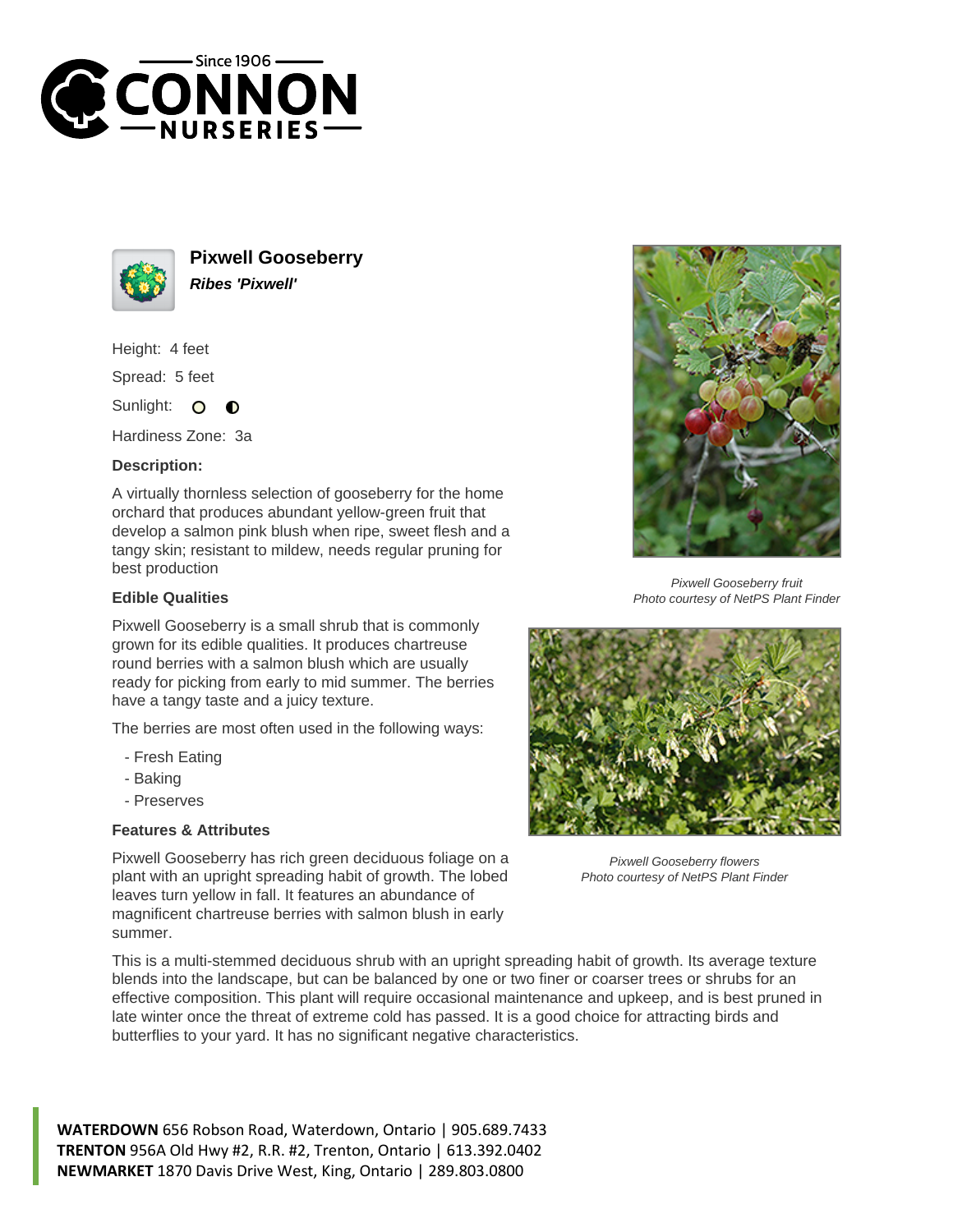



**Pixwell Gooseberry Ribes 'Pixwell'**

Height: 4 feet

Spread: 5 feet

Sunlight: O  $\bullet$ 

Hardiness Zone: 3a

## **Description:**

A virtually thornless selection of gooseberry for the home orchard that produces abundant yellow-green fruit that develop a salmon pink blush when ripe, sweet flesh and a tangy skin; resistant to mildew, needs regular pruning for best production

## **Edible Qualities**

Pixwell Gooseberry is a small shrub that is commonly grown for its edible qualities. It produces chartreuse round berries with a salmon blush which are usually ready for picking from early to mid summer. The berries have a tangy taste and a juicy texture.

The berries are most often used in the following ways:

- Fresh Eating
- Baking
- Preserves

## **Features & Attributes**

Pixwell Gooseberry has rich green deciduous foliage on a plant with an upright spreading habit of growth. The lobed leaves turn yellow in fall. It features an abundance of magnificent chartreuse berries with salmon blush in early summer.

This is a multi-stemmed deciduous shrub with an upright spreading habit of growth. Its average texture blends into the landscape, but can be balanced by one or two finer or coarser trees or shrubs for an effective composition. This plant will require occasional maintenance and upkeep, and is best pruned in late winter once the threat of extreme cold has passed. It is a good choice for attracting birds and butterflies to your yard. It has no significant negative characteristics.

**WATERDOWN** 656 Robson Road, Waterdown, Ontario | 905.689.7433 **TRENTON** 956A Old Hwy #2, R.R. #2, Trenton, Ontario | 613.392.0402 **NEWMARKET** 1870 Davis Drive West, King, Ontario | 289.803.0800



Pixwell Gooseberry fruit Photo courtesy of NetPS Plant Finder



Pixwell Gooseberry flowers Photo courtesy of NetPS Plant Finder